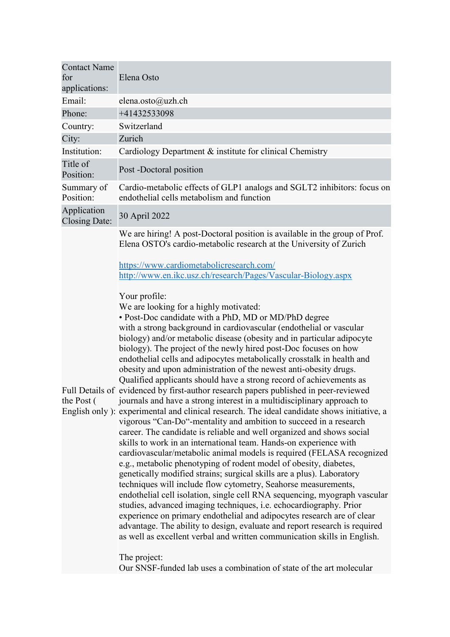| <b>Contact Name</b>                 |                                                                                                                                                                                                                                                                                                                                                                                                                                                                                                                                                                                                                                                                                                                                                                                                                                                                                                                                                                                                                                                                                                                                                                                                                                                                                                                                                                                                                                                                                                                                                                                                                                                                                                                                                                                                                                                                                                                                                                                                 |
|-------------------------------------|-------------------------------------------------------------------------------------------------------------------------------------------------------------------------------------------------------------------------------------------------------------------------------------------------------------------------------------------------------------------------------------------------------------------------------------------------------------------------------------------------------------------------------------------------------------------------------------------------------------------------------------------------------------------------------------------------------------------------------------------------------------------------------------------------------------------------------------------------------------------------------------------------------------------------------------------------------------------------------------------------------------------------------------------------------------------------------------------------------------------------------------------------------------------------------------------------------------------------------------------------------------------------------------------------------------------------------------------------------------------------------------------------------------------------------------------------------------------------------------------------------------------------------------------------------------------------------------------------------------------------------------------------------------------------------------------------------------------------------------------------------------------------------------------------------------------------------------------------------------------------------------------------------------------------------------------------------------------------------------------------|
| for                                 | Elena Osto                                                                                                                                                                                                                                                                                                                                                                                                                                                                                                                                                                                                                                                                                                                                                                                                                                                                                                                                                                                                                                                                                                                                                                                                                                                                                                                                                                                                                                                                                                                                                                                                                                                                                                                                                                                                                                                                                                                                                                                      |
| applications:                       |                                                                                                                                                                                                                                                                                                                                                                                                                                                                                                                                                                                                                                                                                                                                                                                                                                                                                                                                                                                                                                                                                                                                                                                                                                                                                                                                                                                                                                                                                                                                                                                                                                                                                                                                                                                                                                                                                                                                                                                                 |
| Email:                              | elena.osto@uzh.ch                                                                                                                                                                                                                                                                                                                                                                                                                                                                                                                                                                                                                                                                                                                                                                                                                                                                                                                                                                                                                                                                                                                                                                                                                                                                                                                                                                                                                                                                                                                                                                                                                                                                                                                                                                                                                                                                                                                                                                               |
| Phone:                              | +41432533098                                                                                                                                                                                                                                                                                                                                                                                                                                                                                                                                                                                                                                                                                                                                                                                                                                                                                                                                                                                                                                                                                                                                                                                                                                                                                                                                                                                                                                                                                                                                                                                                                                                                                                                                                                                                                                                                                                                                                                                    |
| Country:                            | Switzerland<br>Zurich                                                                                                                                                                                                                                                                                                                                                                                                                                                                                                                                                                                                                                                                                                                                                                                                                                                                                                                                                                                                                                                                                                                                                                                                                                                                                                                                                                                                                                                                                                                                                                                                                                                                                                                                                                                                                                                                                                                                                                           |
| City:                               |                                                                                                                                                                                                                                                                                                                                                                                                                                                                                                                                                                                                                                                                                                                                                                                                                                                                                                                                                                                                                                                                                                                                                                                                                                                                                                                                                                                                                                                                                                                                                                                                                                                                                                                                                                                                                                                                                                                                                                                                 |
| Institution:                        | Cardiology Department & institute for clinical Chemistry                                                                                                                                                                                                                                                                                                                                                                                                                                                                                                                                                                                                                                                                                                                                                                                                                                                                                                                                                                                                                                                                                                                                                                                                                                                                                                                                                                                                                                                                                                                                                                                                                                                                                                                                                                                                                                                                                                                                        |
| Title of<br>Position:               | Post -Doctoral position                                                                                                                                                                                                                                                                                                                                                                                                                                                                                                                                                                                                                                                                                                                                                                                                                                                                                                                                                                                                                                                                                                                                                                                                                                                                                                                                                                                                                                                                                                                                                                                                                                                                                                                                                                                                                                                                                                                                                                         |
| Summary of<br>Position:             | Cardio-metabolic effects of GLP1 analogs and SGLT2 inhibitors: focus on<br>endothelial cells metabolism and function                                                                                                                                                                                                                                                                                                                                                                                                                                                                                                                                                                                                                                                                                                                                                                                                                                                                                                                                                                                                                                                                                                                                                                                                                                                                                                                                                                                                                                                                                                                                                                                                                                                                                                                                                                                                                                                                            |
| Application<br><b>Closing Date:</b> | 30 April 2022                                                                                                                                                                                                                                                                                                                                                                                                                                                                                                                                                                                                                                                                                                                                                                                                                                                                                                                                                                                                                                                                                                                                                                                                                                                                                                                                                                                                                                                                                                                                                                                                                                                                                                                                                                                                                                                                                                                                                                                   |
| the Post (                          | We are hiring! A post-Doctoral position is available in the group of Prof.<br>Elena OSTO's cardio-metabolic research at the University of Zurich<br>https://www.cardiometabolicresearch.com/<br>http://www.en.ikc.usz.ch/research/Pages/Vascular-Biology.aspx<br>Your profile:<br>We are looking for a highly motivated:<br>• Post-Doc candidate with a PhD, MD or MD/PhD degree<br>with a strong background in cardiovascular (endothelial or vascular<br>biology) and/or metabolic disease (obesity and in particular adipocyte<br>biology). The project of the newly hired post-Doc focuses on how<br>endothelial cells and adipocytes metabolically crosstalk in health and<br>obesity and upon administration of the newest anti-obesity drugs.<br>Qualified applicants should have a strong record of achievements as<br>Full Details of evidenced by first-author research papers published in peer-reviewed<br>journals and have a strong interest in a multidisciplinary approach to<br>English only ): experimental and clinical research. The ideal candidate shows initiative, a<br>vigorous "Can-Do"-mentality and ambition to succeed in a research<br>career. The candidate is reliable and well organized and shows social<br>skills to work in an international team. Hands-on experience with<br>cardiovascular/metabolic animal models is required (FELASA recognized<br>e.g., metabolic phenotyping of rodent model of obesity, diabetes,<br>genetically modified strains; surgical skills are a plus). Laboratory<br>techniques will include flow cytometry, Seahorse measurements,<br>endothelial cell isolation, single cell RNA sequencing, myograph vascular<br>studies, advanced imaging techniques, i.e. echocardiography. Prior<br>experience on primary endothelial and adipocytes research are of clear<br>advantage. The ability to design, evaluate and report research is required<br>as well as excellent verbal and written communication skills in English. |
|                                     | The project:<br>Our SNSF-funded lab uses a combination of state of the art molecular                                                                                                                                                                                                                                                                                                                                                                                                                                                                                                                                                                                                                                                                                                                                                                                                                                                                                                                                                                                                                                                                                                                                                                                                                                                                                                                                                                                                                                                                                                                                                                                                                                                                                                                                                                                                                                                                                                            |